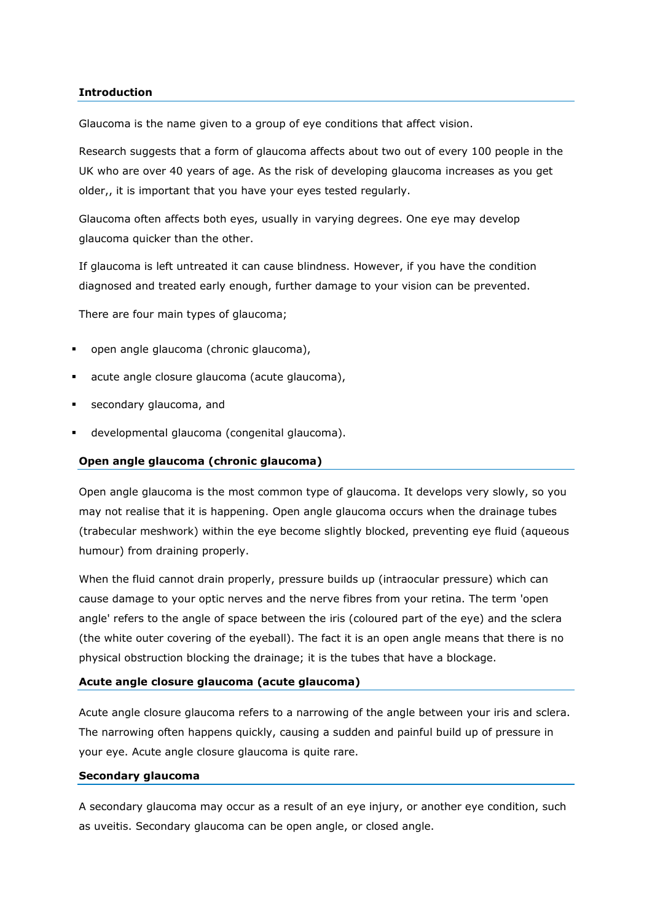# **Introduction**

Glaucoma is the name given to a group of eye conditions that affect vision.

Research suggests that a form of glaucoma affects about two out of every 100 people in the UK who are over 40 years of age. As the risk of developing glaucoma increases as you get older,, it is important that you have your eyes tested regularly.

Glaucoma often affects both eyes, usually in varying degrees. One eye may develop glaucoma quicker than the other.

If glaucoma is left untreated it can cause blindness. However, if you have the condition diagnosed and treated early enough, further damage to your vision can be prevented.

There are four main types of glaucoma;

- open angle glaucoma (chronic glaucoma),
- acute angle closure glaucoma (acute glaucoma),
- secondary glaucoma, and
- developmental glaucoma (congenital glaucoma).

#### **Open angle glaucoma (chronic glaucoma)**

Open angle glaucoma is the most common type of glaucoma. It develops very slowly, so you may not realise that it is happening. Open angle glaucoma occurs when the drainage tubes (trabecular meshwork) within the eye become slightly blocked, preventing eye fluid (aqueous humour) from draining properly.

When the fluid cannot drain properly, pressure builds up (intraocular pressure) which can cause damage to your optic nerves and the nerve fibres from your retina. The term 'open angle' refers to the angle of space between the iris (coloured part of the eye) and the sclera (the white outer covering of the eyeball). The fact it is an open angle means that there is no physical obstruction blocking the drainage; it is the tubes that have a blockage.

### **Acute angle closure glaucoma (acute glaucoma)**

Acute angle closure glaucoma refers to a narrowing of the angle between your iris and sclera. The narrowing often happens quickly, causing a sudden and painful build up of pressure in your eye. Acute angle closure glaucoma is quite rare.

## **Secondary glaucoma**

A secondary glaucoma may occur as a result of an eye injury, or another eye condition, such as uveitis. Secondary glaucoma can be open angle, or closed angle.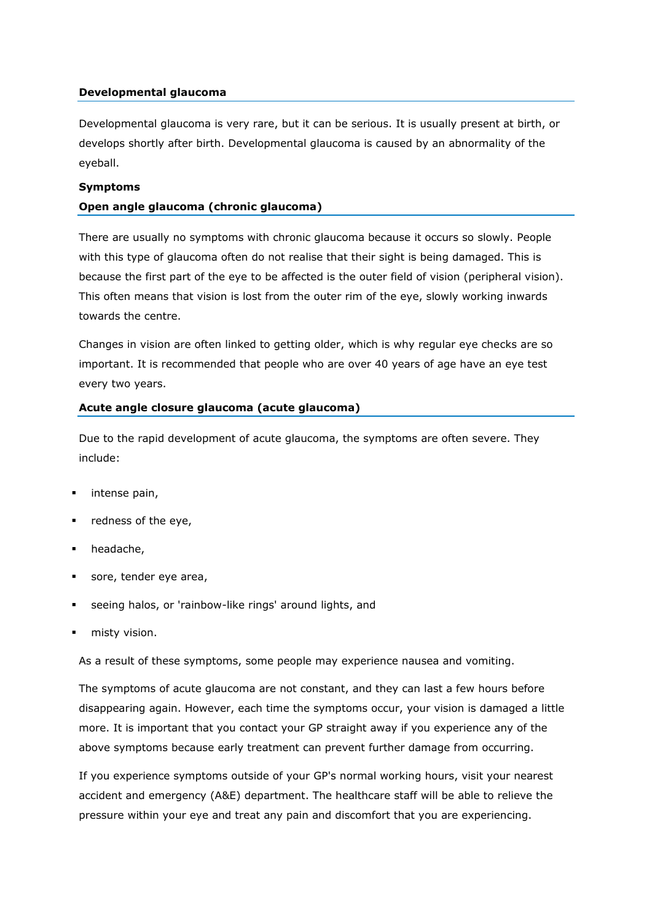# **Developmental glaucoma**

Developmental glaucoma is very rare, but it can be serious. It is usually present at birth, or develops shortly after birth. Developmental glaucoma is caused by an abnormality of the eyeball.

## **Symptoms**

# **Open angle glaucoma (chronic glaucoma)**

There are usually no symptoms with chronic glaucoma because it occurs so slowly. People with this type of glaucoma often do not realise that their sight is being damaged. This is because the first part of the eye to be affected is the outer field of vision (peripheral vision). This often means that vision is lost from the outer rim of the eye, slowly working inwards towards the centre.

Changes in vision are often linked to getting older, which is why regular eye checks are so important. It is recommended that people who are over 40 years of age have an eye test every two years.

## **Acute angle closure glaucoma (acute glaucoma)**

Due to the rapid development of acute glaucoma, the symptoms are often severe. They include:

- intense pain,
- redness of the eye,
- headache,
- sore, tender eye area,
- seeing halos, or 'rainbow-like rings' around lights, and
- misty vision.

As a result of these symptoms, some people may experience nausea and vomiting.

The symptoms of acute glaucoma are not constant, and they can last a few hours before disappearing again. However, each time the symptoms occur, your vision is damaged a little more. It is important that you contact your GP straight away if you experience any of the above symptoms because early treatment can prevent further damage from occurring.

If you experience symptoms outside of your GP's normal working hours, visit your nearest accident and emergency (A&E) department. The healthcare staff will be able to relieve the pressure within your eye and treat any pain and discomfort that you are experiencing.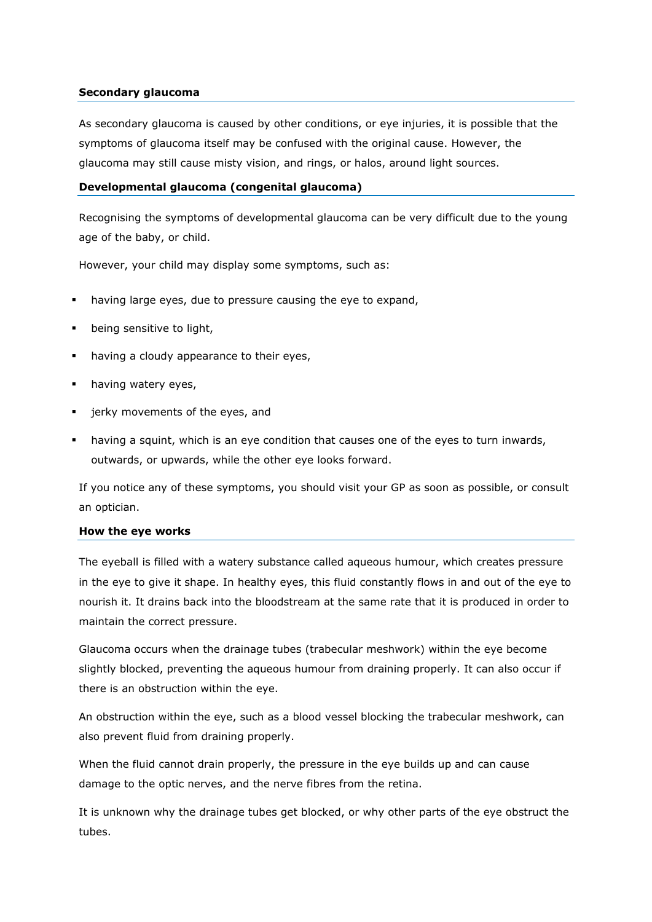# **Secondary glaucoma**

As secondary glaucoma is caused by other conditions, or eye injuries, it is possible that the symptoms of glaucoma itself may be confused with the original cause. However, the glaucoma may still cause misty vision, and rings, or halos, around light sources.

## **Developmental glaucoma (congenital glaucoma)**

Recognising the symptoms of developmental glaucoma can be very difficult due to the young age of the baby, or child.

However, your child may display some symptoms, such as:

- having large eyes, due to pressure causing the eye to expand,
- being sensitive to light,
- having a cloudy appearance to their eyes,
- having watery eyes,
- jerky movements of the eyes, and
- having a squint, which is an eye condition that causes one of the eyes to turn inwards, outwards, or upwards, while the other eye looks forward.

If you notice any of these symptoms, you should visit your GP as soon as possible, or consult an optician.

### **How the eye works**

The eyeball is filled with a watery substance called aqueous humour, which creates pressure in the eye to give it shape. In healthy eyes, this fluid constantly flows in and out of the eye to nourish it. It drains back into the bloodstream at the same rate that it is produced in order to maintain the correct pressure.

Glaucoma occurs when the drainage tubes (trabecular meshwork) within the eye become slightly blocked, preventing the aqueous humour from draining properly. It can also occur if there is an obstruction within the eye.

An obstruction within the eye, such as a blood vessel blocking the trabecular meshwork, can also prevent fluid from draining properly.

When the fluid cannot drain properly, the pressure in the eye builds up and can cause damage to the optic nerves, and the nerve fibres from the retina.

It is unknown why the drainage tubes get blocked, or why other parts of the eye obstruct the tubes.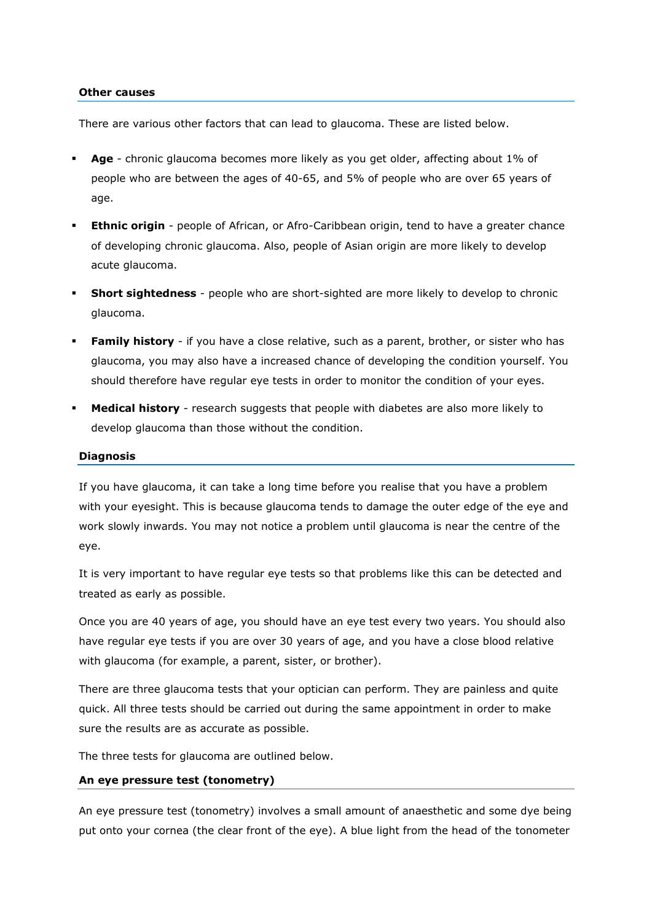### **Other causes**

There are various other factors that can lead to glaucoma. These are listed below.

- **Age** chronic glaucoma becomes more likely as you get older, affecting about 1% of people who are between the ages of 40-65, and 5% of people who are over 65 years of age.
- **Ethnic origin** people of African, or Afro-Caribbean origin, tend to have a greater chance of developing chronic glaucoma. Also, people of Asian origin are more likely to develop acute glaucoma.
- **Short sightedness** people who are short-sighted are more likely to develop to chronic glaucoma.
- **Family history** if you have a close relative, such as a parent, brother, or sister who has glaucoma, you may also have a increased chance of developing the condition yourself. You should therefore have regular eye tests in order to monitor the condition of your eyes.
- **Medical history** research suggests that people with diabetes are also more likely to develop glaucoma than those without the condition.

### **Diagnosis**

If you have glaucoma, it can take a long time before you realise that you have a problem with your eyesight. This is because glaucoma tends to damage the outer edge of the eye and work slowly inwards. You may not notice a problem until glaucoma is near the centre of the eye.

It is very important to have regular eye tests so that problems like this can be detected and treated as early as possible.

Once you are 40 years of age, you should have an eye test every two years. You should also have regular eye tests if you are over 30 years of age, and you have a close blood relative with glaucoma (for example, a parent, sister, or brother).

There are three glaucoma tests that your optician can perform. They are painless and quite quick. All three tests should be carried out during the same appointment in order to make sure the results are as accurate as possible.

The three tests for glaucoma are outlined below.

# **An eye pressure test (tonometry)**

An eye pressure test (tonometry) involves a small amount of anaesthetic and some dye being put onto your cornea (the clear front of the eye). A blue light from the head of the tonometer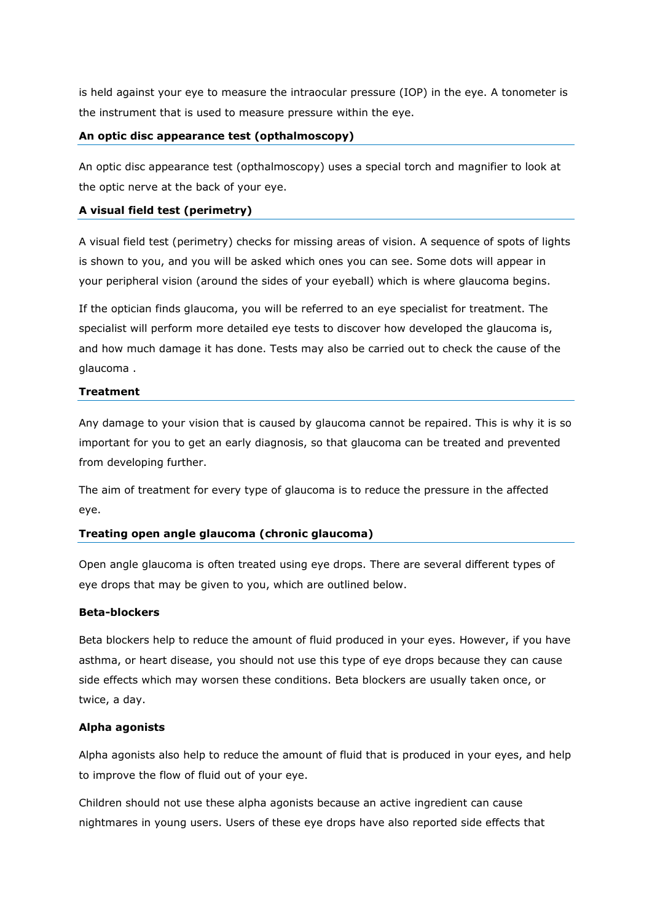is held against your eye to measure the intraocular pressure (IOP) in the eye. A tonometer is the instrument that is used to measure pressure within the eye.

# **An optic disc appearance test (opthalmoscopy)**

An optic disc appearance test (opthalmoscopy) uses a special torch and magnifier to look at the optic nerve at the back of your eye.

# **A visual field test (perimetry)**

A visual field test (perimetry) checks for missing areas of vision. A sequence of spots of lights is shown to you, and you will be asked which ones you can see. Some dots will appear in your peripheral vision (around the sides of your eyeball) which is where glaucoma begins.

If the optician finds glaucoma, you will be referred to an eye specialist for treatment. The specialist will perform more detailed eye tests to discover how developed the glaucoma is, and how much damage it has done. Tests may also be carried out to check the cause of the glaucoma .

# **Treatment**

Any damage to your vision that is caused by glaucoma cannot be repaired. This is why it is so important for you to get an early diagnosis, so that glaucoma can be treated and prevented from developing further.

The aim of treatment for every type of glaucoma is to reduce the pressure in the affected eye.

# **Treating open angle glaucoma (chronic glaucoma)**

Open angle glaucoma is often treated using eye drops. There are several different types of eye drops that may be given to you, which are outlined below.

# **Beta-blockers**

Beta blockers help to reduce the amount of fluid produced in your eyes. However, if you have asthma, or heart disease, you should not use this type of eye drops because they can cause side effects which may worsen these conditions. Beta blockers are usually taken once, or twice, a day.

# **Alpha agonists**

Alpha agonists also help to reduce the amount of fluid that is produced in your eyes, and help to improve the flow of fluid out of your eye.

Children should not use these alpha agonists because an active ingredient can cause nightmares in young users. Users of these eye drops have also reported side effects that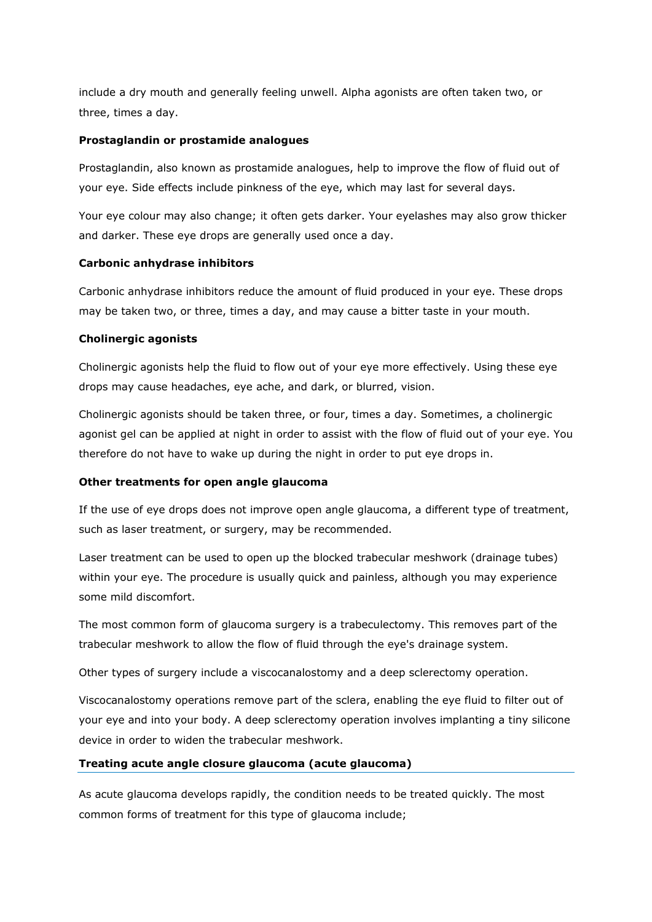include a dry mouth and generally feeling unwell. Alpha agonists are often taken two, or three, times a day.

### **Prostaglandin or prostamide analogues**

Prostaglandin, also known as prostamide analogues, help to improve the flow of fluid out of your eye. Side effects include pinkness of the eye, which may last for several days.

Your eye colour may also change; it often gets darker. Your eyelashes may also grow thicker and darker. These eye drops are generally used once a day.

## **Carbonic anhydrase inhibitors**

Carbonic anhydrase inhibitors reduce the amount of fluid produced in your eye. These drops may be taken two, or three, times a day, and may cause a bitter taste in your mouth.

## **Cholinergic agonists**

Cholinergic agonists help the fluid to flow out of your eye more effectively. Using these eye drops may cause headaches, eye ache, and dark, or blurred, vision.

Cholinergic agonists should be taken three, or four, times a day. Sometimes, a cholinergic agonist gel can be applied at night in order to assist with the flow of fluid out of your eye. You therefore do not have to wake up during the night in order to put eye drops in.

# **Other treatments for open angle glaucoma**

If the use of eye drops does not improve open angle glaucoma, a different type of treatment, such as laser treatment, or surgery, may be recommended.

Laser treatment can be used to open up the blocked trabecular meshwork (drainage tubes) within your eye. The procedure is usually quick and painless, although you may experience some mild discomfort.

The most common form of glaucoma surgery is a trabeculectomy. This removes part of the trabecular meshwork to allow the flow of fluid through the eye's drainage system.

Other types of surgery include a viscocanalostomy and a deep sclerectomy operation.

Viscocanalostomy operations remove part of the sclera, enabling the eye fluid to filter out of your eye and into your body. A deep sclerectomy operation involves implanting a tiny silicone device in order to widen the trabecular meshwork.

# **Treating acute angle closure glaucoma (acute glaucoma)**

As acute glaucoma develops rapidly, the condition needs to be treated quickly. The most common forms of treatment for this type of glaucoma include;